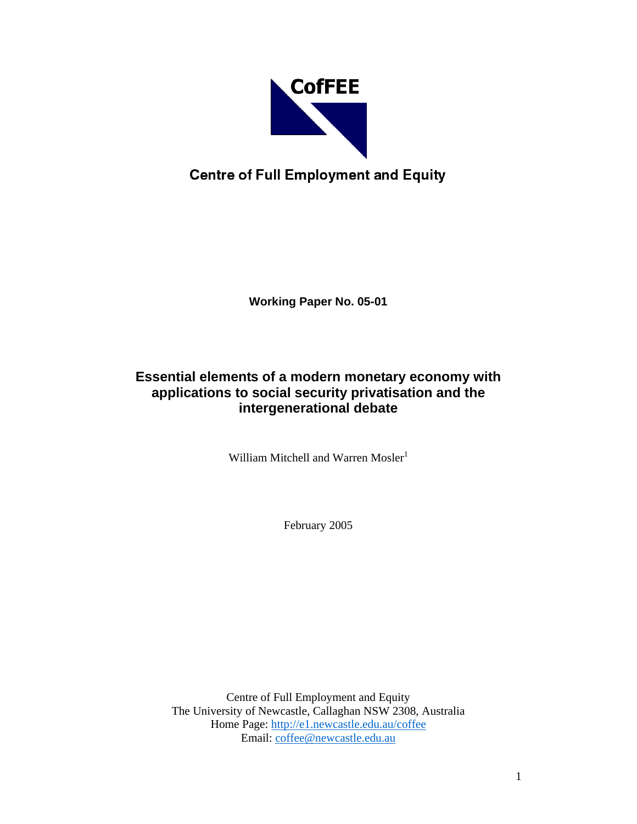

# **Centre of Full Employment and Equity**

**Working Paper No. 05-01** 

# **Essential elements of a modern monetary economy with applications to social security privatisation and the intergenerational debate**

William Mitchell and Warren Mosler<sup>1</sup>

February 2005

Centre of Full Employment and Equity The University of Newcastle, Callaghan NSW 2308, Australia Home Page: http://e1.newcastle.edu.au/coffee Email: coffee@newcastle.edu.au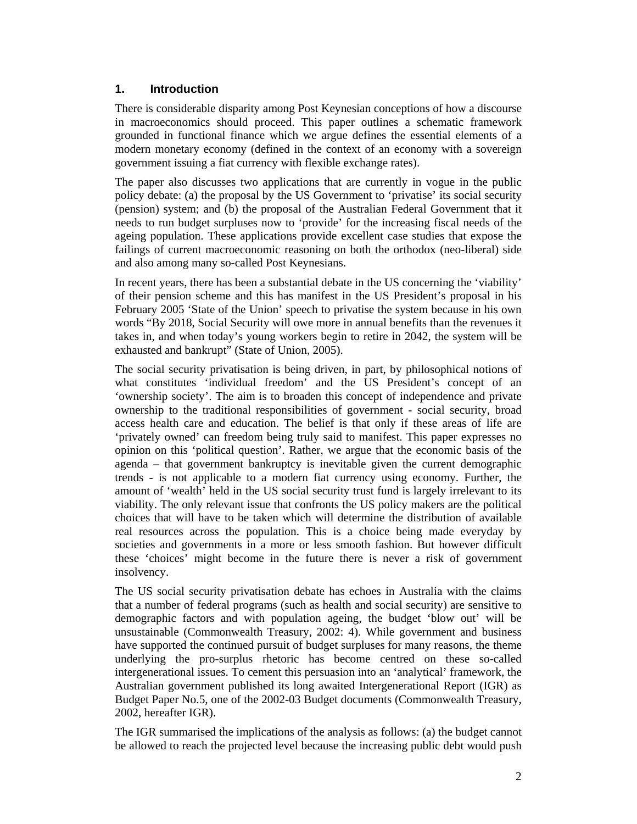#### **1. Introduction**

There is considerable disparity among Post Keynesian conceptions of how a discourse in macroeconomics should proceed. This paper outlines a schematic framework grounded in functional finance which we argue defines the essential elements of a modern monetary economy (defined in the context of an economy with a sovereign government issuing a fiat currency with flexible exchange rates).

The paper also discusses two applications that are currently in vogue in the public policy debate: (a) the proposal by the US Government to 'privatise' its social security (pension) system; and (b) the proposal of the Australian Federal Government that it needs to run budget surpluses now to 'provide' for the increasing fiscal needs of the ageing population. These applications provide excellent case studies that expose the failings of current macroeconomic reasoning on both the orthodox (neo-liberal) side and also among many so-called Post Keynesians.

In recent years, there has been a substantial debate in the US concerning the 'viability' of their pension scheme and this has manifest in the US President's proposal in his February 2005 'State of the Union' speech to privatise the system because in his own words "By 2018, Social Security will owe more in annual benefits than the revenues it takes in, and when today's young workers begin to retire in 2042, the system will be exhausted and bankrupt" (State of Union, 2005).

The social security privatisation is being driven, in part, by philosophical notions of what constitutes 'individual freedom' and the US President's concept of an 'ownership society'. The aim is to broaden this concept of independence and private ownership to the traditional responsibilities of government - social security, broad access health care and education. The belief is that only if these areas of life are 'privately owned' can freedom being truly said to manifest. This paper expresses no opinion on this 'political question'. Rather, we argue that the economic basis of the agenda – that government bankruptcy is inevitable given the current demographic trends - is not applicable to a modern fiat currency using economy. Further, the amount of 'wealth' held in the US social security trust fund is largely irrelevant to its viability. The only relevant issue that confronts the US policy makers are the political choices that will have to be taken which will determine the distribution of available real resources across the population. This is a choice being made everyday by societies and governments in a more or less smooth fashion. But however difficult these 'choices' might become in the future there is never a risk of government insolvency.

The US social security privatisation debate has echoes in Australia with the claims that a number of federal programs (such as health and social security) are sensitive to demographic factors and with population ageing, the budget 'blow out' will be unsustainable (Commonwealth Treasury, 2002: 4). While government and business have supported the continued pursuit of budget surpluses for many reasons, the theme underlying the pro-surplus rhetoric has become centred on these so-called intergenerational issues. To cement this persuasion into an 'analytical' framework, the Australian government published its long awaited Intergenerational Report (IGR) as Budget Paper No.5, one of the 2002-03 Budget documents (Commonwealth Treasury, 2002, hereafter IGR).

The IGR summarised the implications of the analysis as follows: (a) the budget cannot be allowed to reach the projected level because the increasing public debt would push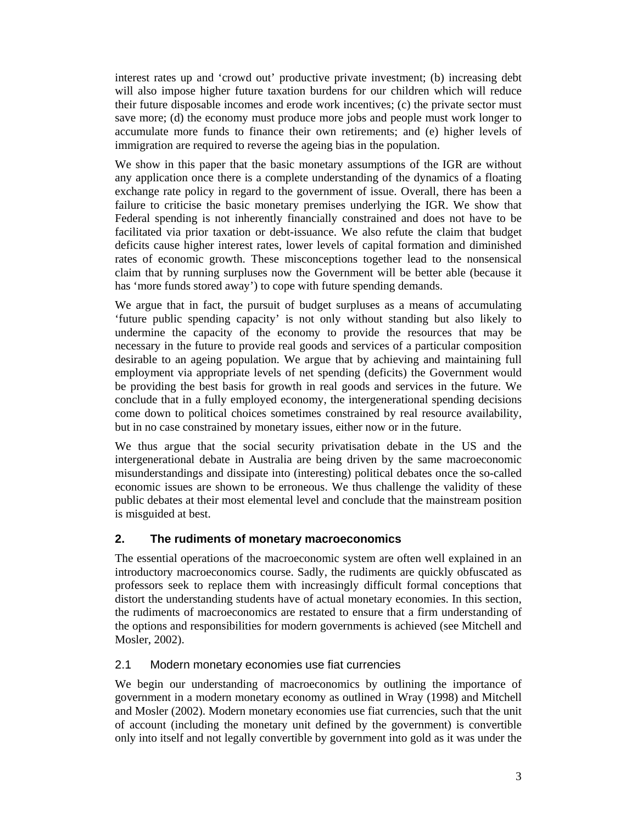interest rates up and 'crowd out' productive private investment; (b) increasing debt will also impose higher future taxation burdens for our children which will reduce their future disposable incomes and erode work incentives; (c) the private sector must save more; (d) the economy must produce more jobs and people must work longer to accumulate more funds to finance their own retirements; and (e) higher levels of immigration are required to reverse the ageing bias in the population.

We show in this paper that the basic monetary assumptions of the IGR are without any application once there is a complete understanding of the dynamics of a floating exchange rate policy in regard to the government of issue. Overall, there has been a failure to criticise the basic monetary premises underlying the IGR. We show that Federal spending is not inherently financially constrained and does not have to be facilitated via prior taxation or debt-issuance. We also refute the claim that budget deficits cause higher interest rates, lower levels of capital formation and diminished rates of economic growth. These misconceptions together lead to the nonsensical claim that by running surpluses now the Government will be better able (because it has 'more funds stored away') to cope with future spending demands.

We argue that in fact, the pursuit of budget surpluses as a means of accumulating 'future public spending capacity' is not only without standing but also likely to undermine the capacity of the economy to provide the resources that may be necessary in the future to provide real goods and services of a particular composition desirable to an ageing population. We argue that by achieving and maintaining full employment via appropriate levels of net spending (deficits) the Government would be providing the best basis for growth in real goods and services in the future. We conclude that in a fully employed economy, the intergenerational spending decisions come down to political choices sometimes constrained by real resource availability, but in no case constrained by monetary issues, either now or in the future.

We thus argue that the social security privatisation debate in the US and the intergenerational debate in Australia are being driven by the same macroeconomic misunderstandings and dissipate into (interesting) political debates once the so-called economic issues are shown to be erroneous. We thus challenge the validity of these public debates at their most elemental level and conclude that the mainstream position is misguided at best.

# **2. The rudiments of monetary macroeconomics**

The essential operations of the macroeconomic system are often well explained in an introductory macroeconomics course. Sadly, the rudiments are quickly obfuscated as professors seek to replace them with increasingly difficult formal conceptions that distort the understanding students have of actual monetary economies. In this section, the rudiments of macroeconomics are restated to ensure that a firm understanding of the options and responsibilities for modern governments is achieved (see Mitchell and Mosler, 2002).

#### 2.1 Modern monetary economies use fiat currencies

We begin our understanding of macroeconomics by outlining the importance of government in a modern monetary economy as outlined in Wray (1998) and Mitchell and Mosler (2002). Modern monetary economies use fiat currencies, such that the unit of account (including the monetary unit defined by the government) is convertible only into itself and not legally convertible by government into gold as it was under the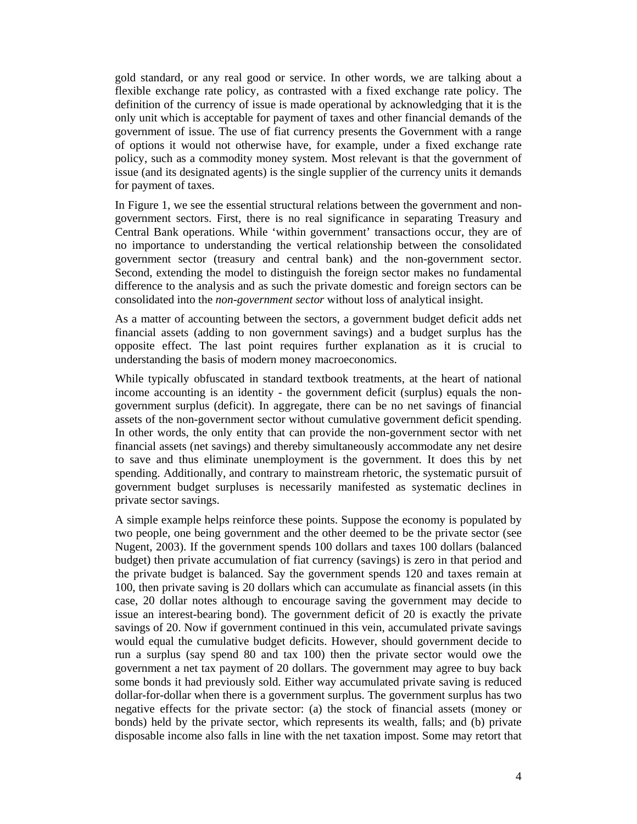gold standard, or any real good or service. In other words, we are talking about a flexible exchange rate policy, as contrasted with a fixed exchange rate policy. The definition of the currency of issue is made operational by acknowledging that it is the only unit which is acceptable for payment of taxes and other financial demands of the government of issue. The use of fiat currency presents the Government with a range of options it would not otherwise have, for example, under a fixed exchange rate policy, such as a commodity money system. Most relevant is that the government of issue (and its designated agents) is the single supplier of the currency units it demands for payment of taxes.

In Figure 1, we see the essential structural relations between the government and nongovernment sectors. First, there is no real significance in separating Treasury and Central Bank operations. While 'within government' transactions occur, they are of no importance to understanding the vertical relationship between the consolidated government sector (treasury and central bank) and the non-government sector. Second, extending the model to distinguish the foreign sector makes no fundamental difference to the analysis and as such the private domestic and foreign sectors can be consolidated into the *non-government sector* without loss of analytical insight.

As a matter of accounting between the sectors, a government budget deficit adds net financial assets (adding to non government savings) and a budget surplus has the opposite effect. The last point requires further explanation as it is crucial to understanding the basis of modern money macroeconomics.

While typically obfuscated in standard textbook treatments, at the heart of national income accounting is an identity - the government deficit (surplus) equals the nongovernment surplus (deficit). In aggregate, there can be no net savings of financial assets of the non-government sector without cumulative government deficit spending. In other words, the only entity that can provide the non-government sector with net financial assets (net savings) and thereby simultaneously accommodate any net desire to save and thus eliminate unemployment is the government. It does this by net spending. Additionally, and contrary to mainstream rhetoric, the systematic pursuit of government budget surpluses is necessarily manifested as systematic declines in private sector savings.

A simple example helps reinforce these points. Suppose the economy is populated by two people, one being government and the other deemed to be the private sector (see Nugent, 2003). If the government spends 100 dollars and taxes 100 dollars (balanced budget) then private accumulation of fiat currency (savings) is zero in that period and the private budget is balanced. Say the government spends 120 and taxes remain at 100, then private saving is 20 dollars which can accumulate as financial assets (in this case, 20 dollar notes although to encourage saving the government may decide to issue an interest-bearing bond). The government deficit of 20 is exactly the private savings of 20. Now if government continued in this vein, accumulated private savings would equal the cumulative budget deficits. However, should government decide to run a surplus (say spend 80 and tax 100) then the private sector would owe the government a net tax payment of 20 dollars. The government may agree to buy back some bonds it had previously sold. Either way accumulated private saving is reduced dollar-for-dollar when there is a government surplus. The government surplus has two negative effects for the private sector: (a) the stock of financial assets (money or bonds) held by the private sector, which represents its wealth, falls; and (b) private disposable income also falls in line with the net taxation impost. Some may retort that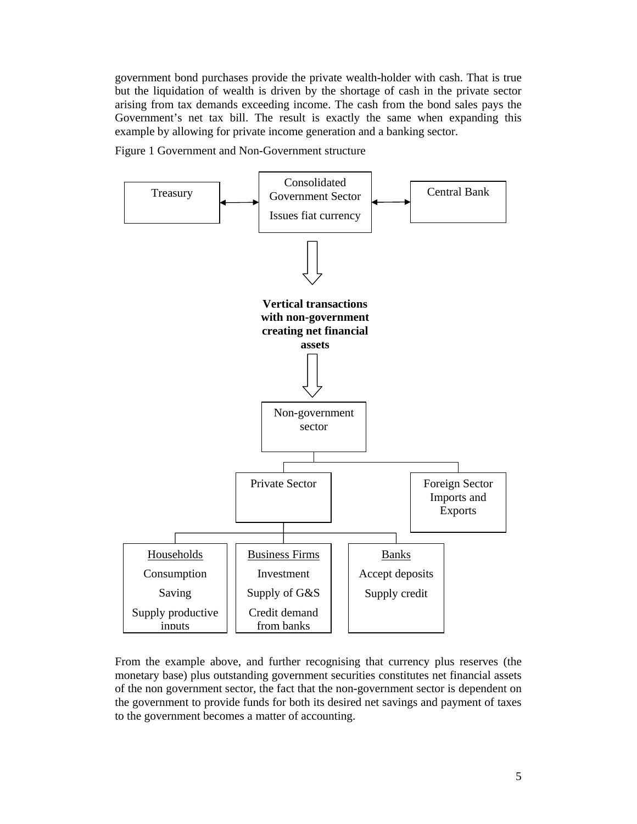government bond purchases provide the private wealth-holder with cash. That is true but the liquidation of wealth is driven by the shortage of cash in the private sector arising from tax demands exceeding income. The cash from the bond sales pays the Government's net tax bill. The result is exactly the same when expanding this example by allowing for private income generation and a banking sector.

Figure 1 Government and Non-Government structure



From the example above, and further recognising that currency plus reserves (the monetary base) plus outstanding government securities constitutes net financial assets of the non government sector, the fact that the non-government sector is dependent on the government to provide funds for both its desired net savings and payment of taxes to the government becomes a matter of accounting.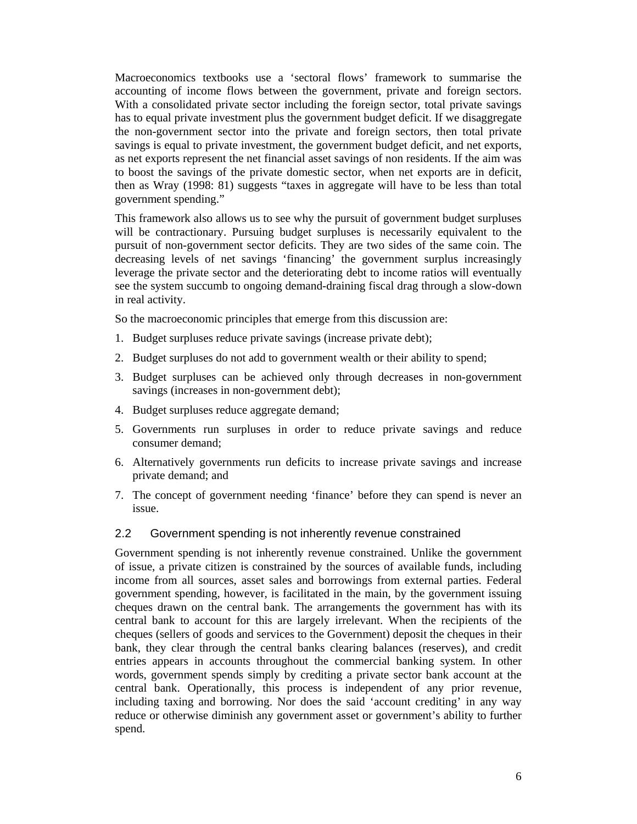Macroeconomics textbooks use a 'sectoral flows' framework to summarise the accounting of income flows between the government, private and foreign sectors. With a consolidated private sector including the foreign sector, total private savings has to equal private investment plus the government budget deficit. If we disaggregate the non-government sector into the private and foreign sectors, then total private savings is equal to private investment, the government budget deficit, and net exports, as net exports represent the net financial asset savings of non residents. If the aim was to boost the savings of the private domestic sector, when net exports are in deficit, then as Wray (1998: 81) suggests "taxes in aggregate will have to be less than total government spending."

This framework also allows us to see why the pursuit of government budget surpluses will be contractionary. Pursuing budget surpluses is necessarily equivalent to the pursuit of non-government sector deficits. They are two sides of the same coin. The decreasing levels of net savings 'financing' the government surplus increasingly leverage the private sector and the deteriorating debt to income ratios will eventually see the system succumb to ongoing demand-draining fiscal drag through a slow-down in real activity.

So the macroeconomic principles that emerge from this discussion are:

- 1. Budget surpluses reduce private savings (increase private debt);
- 2. Budget surpluses do not add to government wealth or their ability to spend;
- 3. Budget surpluses can be achieved only through decreases in non-government savings (increases in non-government debt);
- 4. Budget surpluses reduce aggregate demand;
- 5. Governments run surpluses in order to reduce private savings and reduce consumer demand;
- 6. Alternatively governments run deficits to increase private savings and increase private demand; and
- 7. The concept of government needing 'finance' before they can spend is never an issue.

#### 2.2 Government spending is not inherently revenue constrained

Government spending is not inherently revenue constrained. Unlike the government of issue, a private citizen is constrained by the sources of available funds, including income from all sources, asset sales and borrowings from external parties. Federal government spending, however, is facilitated in the main, by the government issuing cheques drawn on the central bank. The arrangements the government has with its central bank to account for this are largely irrelevant. When the recipients of the cheques (sellers of goods and services to the Government) deposit the cheques in their bank, they clear through the central banks clearing balances (reserves), and credit entries appears in accounts throughout the commercial banking system. In other words, government spends simply by crediting a private sector bank account at the central bank. Operationally, this process is independent of any prior revenue, including taxing and borrowing. Nor does the said 'account crediting' in any way reduce or otherwise diminish any government asset or government's ability to further spend.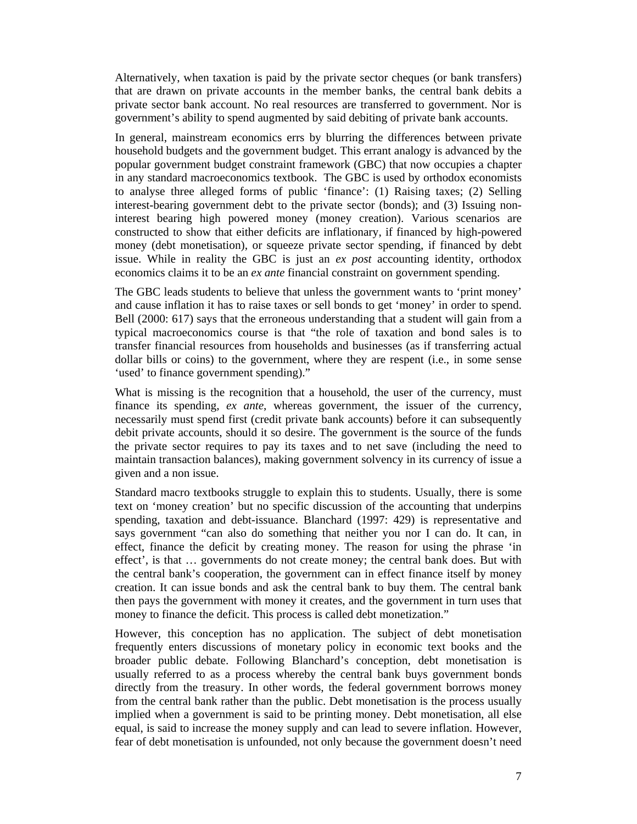Alternatively, when taxation is paid by the private sector cheques (or bank transfers) that are drawn on private accounts in the member banks, the central bank debits a private sector bank account. No real resources are transferred to government. Nor is government's ability to spend augmented by said debiting of private bank accounts.

In general, mainstream economics errs by blurring the differences between private household budgets and the government budget. This errant analogy is advanced by the popular government budget constraint framework (GBC) that now occupies a chapter in any standard macroeconomics textbook. The GBC is used by orthodox economists to analyse three alleged forms of public 'finance': (1) Raising taxes; (2) Selling interest-bearing government debt to the private sector (bonds); and (3) Issuing noninterest bearing high powered money (money creation). Various scenarios are constructed to show that either deficits are inflationary, if financed by high-powered money (debt monetisation), or squeeze private sector spending, if financed by debt issue. While in reality the GBC is just an *ex post* accounting identity, orthodox economics claims it to be an *ex ante* financial constraint on government spending.

The GBC leads students to believe that unless the government wants to 'print money' and cause inflation it has to raise taxes or sell bonds to get 'money' in order to spend. Bell (2000: 617) says that the erroneous understanding that a student will gain from a typical macroeconomics course is that "the role of taxation and bond sales is to transfer financial resources from households and businesses (as if transferring actual dollar bills or coins) to the government, where they are respent (i.e., in some sense 'used' to finance government spending)."

What is missing is the recognition that a household, the user of the currency, must finance its spending, *ex ante*, whereas government, the issuer of the currency, necessarily must spend first (credit private bank accounts) before it can subsequently debit private accounts, should it so desire. The government is the source of the funds the private sector requires to pay its taxes and to net save (including the need to maintain transaction balances), making government solvency in its currency of issue a given and a non issue.

Standard macro textbooks struggle to explain this to students. Usually, there is some text on 'money creation' but no specific discussion of the accounting that underpins spending, taxation and debt-issuance. Blanchard (1997: 429) is representative and says government "can also do something that neither you nor I can do. It can, in effect, finance the deficit by creating money. The reason for using the phrase 'in effect', is that … governments do not create money; the central bank does. But with the central bank's cooperation, the government can in effect finance itself by money creation. It can issue bonds and ask the central bank to buy them. The central bank then pays the government with money it creates, and the government in turn uses that money to finance the deficit. This process is called debt monetization."

However, this conception has no application. The subject of debt monetisation frequently enters discussions of monetary policy in economic text books and the broader public debate. Following Blanchard's conception, debt monetisation is usually referred to as a process whereby the central bank buys government bonds directly from the treasury. In other words, the federal government borrows money from the central bank rather than the public. Debt monetisation is the process usually implied when a government is said to be printing money. Debt monetisation, all else equal, is said to increase the money supply and can lead to severe inflation. However, fear of debt monetisation is unfounded, not only because the government doesn't need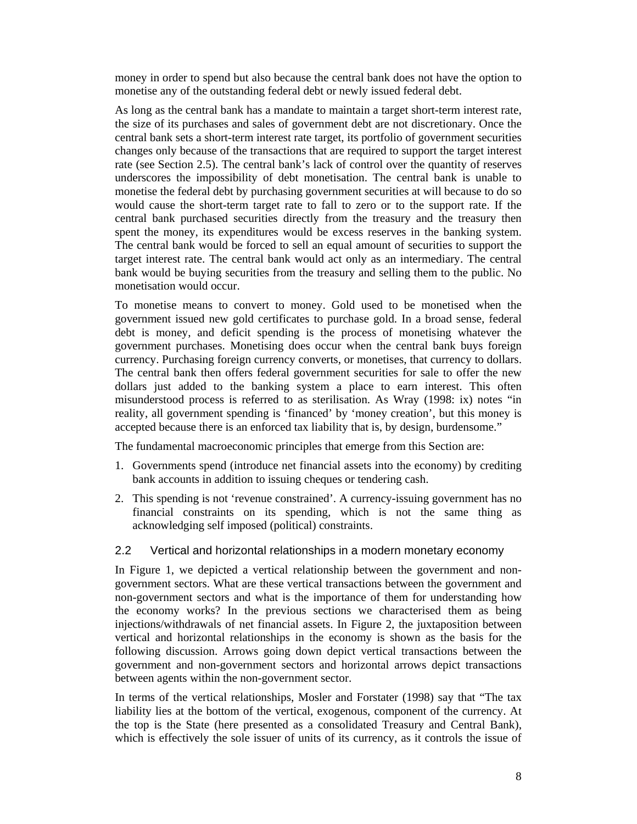money in order to spend but also because the central bank does not have the option to monetise any of the outstanding federal debt or newly issued federal debt.

As long as the central bank has a mandate to maintain a target short-term interest rate, the size of its purchases and sales of government debt are not discretionary. Once the central bank sets a short-term interest rate target, its portfolio of government securities changes only because of the transactions that are required to support the target interest rate (see Section 2.5). The central bank's lack of control over the quantity of reserves underscores the impossibility of debt monetisation. The central bank is unable to monetise the federal debt by purchasing government securities at will because to do so would cause the short-term target rate to fall to zero or to the support rate. If the central bank purchased securities directly from the treasury and the treasury then spent the money, its expenditures would be excess reserves in the banking system. The central bank would be forced to sell an equal amount of securities to support the target interest rate. The central bank would act only as an intermediary. The central bank would be buying securities from the treasury and selling them to the public. No monetisation would occur.

To monetise means to convert to money. Gold used to be monetised when the government issued new gold certificates to purchase gold. In a broad sense, federal debt is money, and deficit spending is the process of monetising whatever the government purchases. Monetising does occur when the central bank buys foreign currency. Purchasing foreign currency converts, or monetises, that currency to dollars. The central bank then offers federal government securities for sale to offer the new dollars just added to the banking system a place to earn interest. This often misunderstood process is referred to as sterilisation. As Wray (1998: ix) notes "in reality, all government spending is 'financed' by 'money creation', but this money is accepted because there is an enforced tax liability that is, by design, burdensome."

The fundamental macroeconomic principles that emerge from this Section are:

- 1. Governments spend (introduce net financial assets into the economy) by crediting bank accounts in addition to issuing cheques or tendering cash.
- 2. This spending is not 'revenue constrained'. A currency-issuing government has no financial constraints on its spending, which is not the same thing as acknowledging self imposed (political) constraints.

#### 2.2 Vertical and horizontal relationships in a modern monetary economy

In Figure 1, we depicted a vertical relationship between the government and nongovernment sectors. What are these vertical transactions between the government and non-government sectors and what is the importance of them for understanding how the economy works? In the previous sections we characterised them as being injections/withdrawals of net financial assets. In Figure 2, the juxtaposition between vertical and horizontal relationships in the economy is shown as the basis for the following discussion. Arrows going down depict vertical transactions between the government and non-government sectors and horizontal arrows depict transactions between agents within the non-government sector.

In terms of the vertical relationships, Mosler and Forstater (1998) say that "The tax liability lies at the bottom of the vertical, exogenous, component of the currency. At the top is the State (here presented as a consolidated Treasury and Central Bank), which is effectively the sole issuer of units of its currency, as it controls the issue of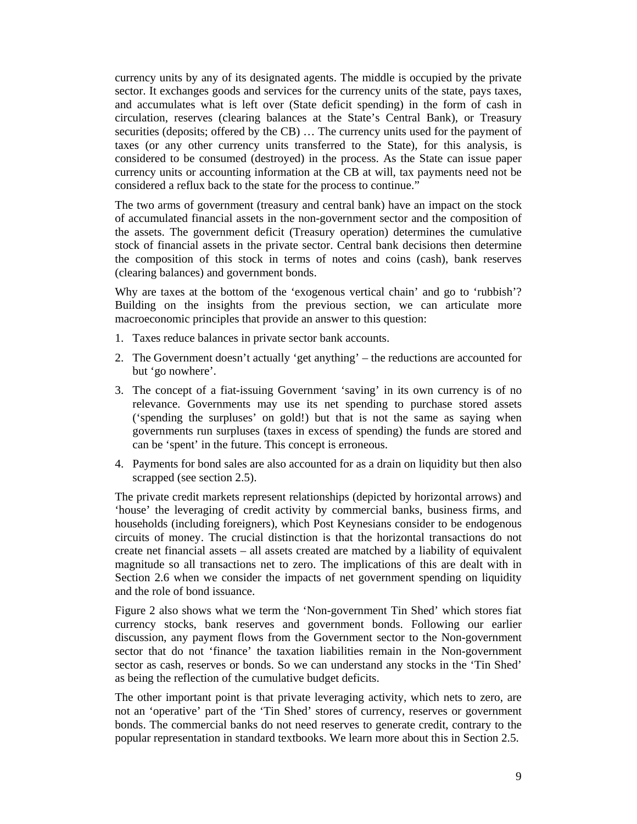currency units by any of its designated agents. The middle is occupied by the private sector. It exchanges goods and services for the currency units of the state, pays taxes, and accumulates what is left over (State deficit spending) in the form of cash in circulation, reserves (clearing balances at the State's Central Bank), or Treasury securities (deposits; offered by the CB) … The currency units used for the payment of taxes (or any other currency units transferred to the State), for this analysis, is considered to be consumed (destroyed) in the process. As the State can issue paper currency units or accounting information at the CB at will, tax payments need not be considered a reflux back to the state for the process to continue."

The two arms of government (treasury and central bank) have an impact on the stock of accumulated financial assets in the non-government sector and the composition of the assets. The government deficit (Treasury operation) determines the cumulative stock of financial assets in the private sector. Central bank decisions then determine the composition of this stock in terms of notes and coins (cash), bank reserves (clearing balances) and government bonds.

Why are taxes at the bottom of the 'exogenous vertical chain' and go to 'rubbish'? Building on the insights from the previous section, we can articulate more macroeconomic principles that provide an answer to this question:

- 1. Taxes reduce balances in private sector bank accounts.
- 2. The Government doesn't actually 'get anything' the reductions are accounted for but 'go nowhere'.
- 3. The concept of a fiat-issuing Government 'saving' in its own currency is of no relevance. Governments may use its net spending to purchase stored assets ('spending the surpluses' on gold!) but that is not the same as saying when governments run surpluses (taxes in excess of spending) the funds are stored and can be 'spent' in the future. This concept is erroneous.
- 4. Payments for bond sales are also accounted for as a drain on liquidity but then also scrapped (see section 2.5).

The private credit markets represent relationships (depicted by horizontal arrows) and 'house' the leveraging of credit activity by commercial banks, business firms, and households (including foreigners), which Post Keynesians consider to be endogenous circuits of money. The crucial distinction is that the horizontal transactions do not create net financial assets – all assets created are matched by a liability of equivalent magnitude so all transactions net to zero. The implications of this are dealt with in Section 2.6 when we consider the impacts of net government spending on liquidity and the role of bond issuance.

Figure 2 also shows what we term the 'Non-government Tin Shed' which stores fiat currency stocks, bank reserves and government bonds. Following our earlier discussion, any payment flows from the Government sector to the Non-government sector that do not 'finance' the taxation liabilities remain in the Non-government sector as cash, reserves or bonds. So we can understand any stocks in the 'Tin Shed' as being the reflection of the cumulative budget deficits.

The other important point is that private leveraging activity, which nets to zero, are not an 'operative' part of the 'Tin Shed' stores of currency, reserves or government bonds. The commercial banks do not need reserves to generate credit, contrary to the popular representation in standard textbooks. We learn more about this in Section 2.5.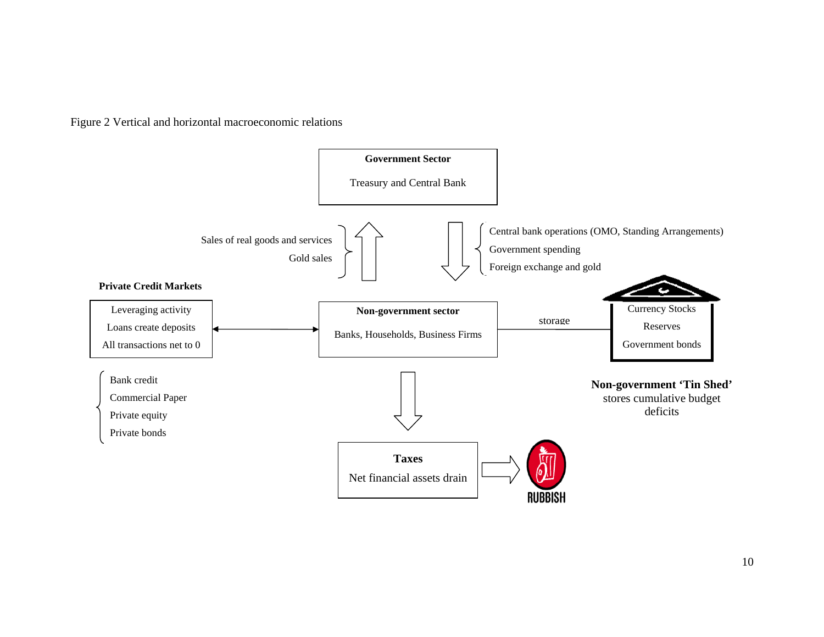Figure 2 Vertical and horizontal macroeconomic relations

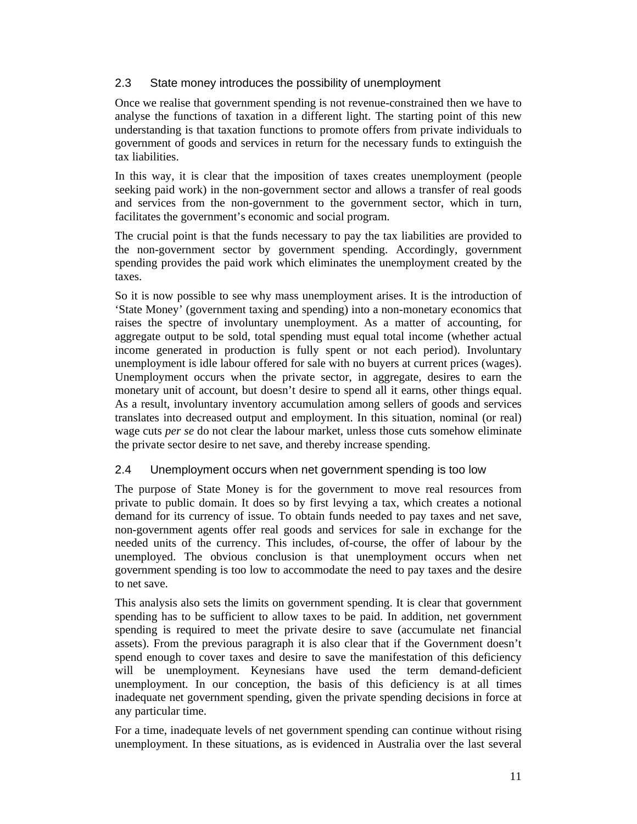### 2.3 State money introduces the possibility of unemployment

Once we realise that government spending is not revenue-constrained then we have to analyse the functions of taxation in a different light. The starting point of this new understanding is that taxation functions to promote offers from private individuals to government of goods and services in return for the necessary funds to extinguish the tax liabilities.

In this way, it is clear that the imposition of taxes creates unemployment (people seeking paid work) in the non-government sector and allows a transfer of real goods and services from the non-government to the government sector, which in turn, facilitates the government's economic and social program.

The crucial point is that the funds necessary to pay the tax liabilities are provided to the non-government sector by government spending. Accordingly, government spending provides the paid work which eliminates the unemployment created by the taxes.

So it is now possible to see why mass unemployment arises. It is the introduction of 'State Money' (government taxing and spending) into a non-monetary economics that raises the spectre of involuntary unemployment. As a matter of accounting, for aggregate output to be sold, total spending must equal total income (whether actual income generated in production is fully spent or not each period). Involuntary unemployment is idle labour offered for sale with no buyers at current prices (wages). Unemployment occurs when the private sector, in aggregate, desires to earn the monetary unit of account, but doesn't desire to spend all it earns, other things equal. As a result, involuntary inventory accumulation among sellers of goods and services translates into decreased output and employment. In this situation, nominal (or real) wage cuts *per se* do not clear the labour market, unless those cuts somehow eliminate the private sector desire to net save, and thereby increase spending.

#### 2.4 Unemployment occurs when net government spending is too low

The purpose of State Money is for the government to move real resources from private to public domain. It does so by first levying a tax, which creates a notional demand for its currency of issue. To obtain funds needed to pay taxes and net save, non-government agents offer real goods and services for sale in exchange for the needed units of the currency. This includes, of-course, the offer of labour by the unemployed. The obvious conclusion is that unemployment occurs when net government spending is too low to accommodate the need to pay taxes and the desire to net save.

This analysis also sets the limits on government spending. It is clear that government spending has to be sufficient to allow taxes to be paid. In addition, net government spending is required to meet the private desire to save (accumulate net financial assets). From the previous paragraph it is also clear that if the Government doesn't spend enough to cover taxes and desire to save the manifestation of this deficiency will be unemployment. Keynesians have used the term demand-deficient unemployment. In our conception, the basis of this deficiency is at all times inadequate net government spending, given the private spending decisions in force at any particular time.

For a time, inadequate levels of net government spending can continue without rising unemployment. In these situations, as is evidenced in Australia over the last several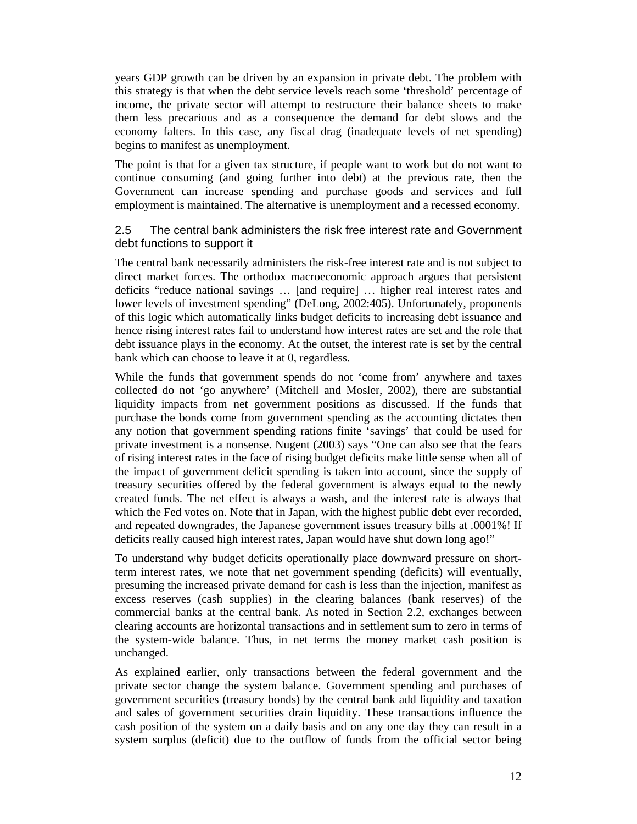years GDP growth can be driven by an expansion in private debt. The problem with this strategy is that when the debt service levels reach some 'threshold' percentage of income, the private sector will attempt to restructure their balance sheets to make them less precarious and as a consequence the demand for debt slows and the economy falters. In this case, any fiscal drag (inadequate levels of net spending) begins to manifest as unemployment.

The point is that for a given tax structure, if people want to work but do not want to continue consuming (and going further into debt) at the previous rate, then the Government can increase spending and purchase goods and services and full employment is maintained. The alternative is unemployment and a recessed economy.

#### 2.5 The central bank administers the risk free interest rate and Government debt functions to support it

The central bank necessarily administers the risk-free interest rate and is not subject to direct market forces. The orthodox macroeconomic approach argues that persistent deficits "reduce national savings … [and require] … higher real interest rates and lower levels of investment spending" (DeLong, 2002:405). Unfortunately, proponents of this logic which automatically links budget deficits to increasing debt issuance and hence rising interest rates fail to understand how interest rates are set and the role that debt issuance plays in the economy. At the outset, the interest rate is set by the central bank which can choose to leave it at 0, regardless.

While the funds that government spends do not 'come from' anywhere and taxes collected do not 'go anywhere' (Mitchell and Mosler, 2002), there are substantial liquidity impacts from net government positions as discussed. If the funds that purchase the bonds come from government spending as the accounting dictates then any notion that government spending rations finite 'savings' that could be used for private investment is a nonsense. Nugent (2003) says "One can also see that the fears of rising interest rates in the face of rising budget deficits make little sense when all of the impact of government deficit spending is taken into account, since the supply of treasury securities offered by the federal government is always equal to the newly created funds. The net effect is always a wash, and the interest rate is always that which the Fed votes on. Note that in Japan, with the highest public debt ever recorded, and repeated downgrades, the Japanese government issues treasury bills at .0001%! If deficits really caused high interest rates, Japan would have shut down long ago!"

To understand why budget deficits operationally place downward pressure on shortterm interest rates, we note that net government spending (deficits) will eventually, presuming the increased private demand for cash is less than the injection, manifest as excess reserves (cash supplies) in the clearing balances (bank reserves) of the commercial banks at the central bank. As noted in Section 2.2, exchanges between clearing accounts are horizontal transactions and in settlement sum to zero in terms of the system-wide balance. Thus, in net terms the money market cash position is unchanged.

As explained earlier, only transactions between the federal government and the private sector change the system balance. Government spending and purchases of government securities (treasury bonds) by the central bank add liquidity and taxation and sales of government securities drain liquidity. These transactions influence the cash position of the system on a daily basis and on any one day they can result in a system surplus (deficit) due to the outflow of funds from the official sector being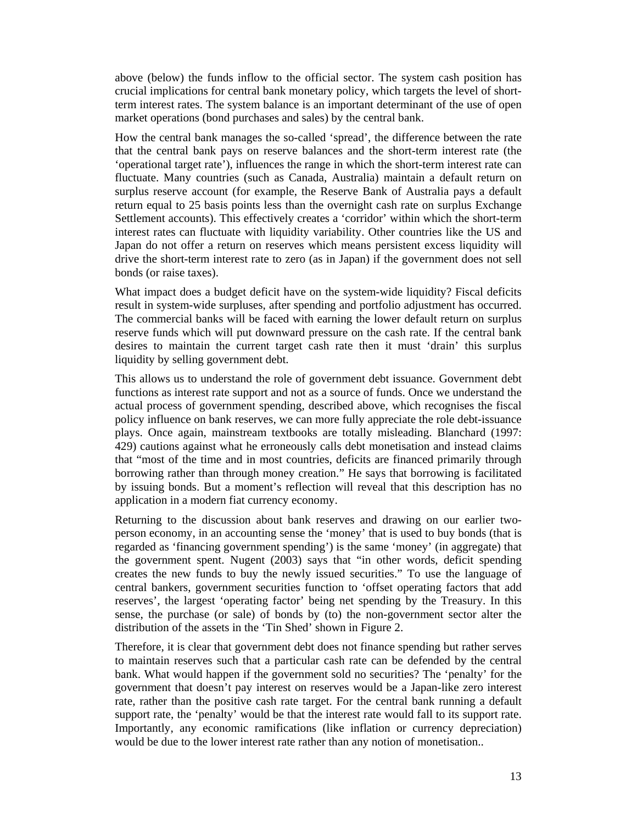above (below) the funds inflow to the official sector. The system cash position has crucial implications for central bank monetary policy, which targets the level of shortterm interest rates. The system balance is an important determinant of the use of open market operations (bond purchases and sales) by the central bank.

How the central bank manages the so-called 'spread', the difference between the rate that the central bank pays on reserve balances and the short-term interest rate (the 'operational target rate'), influences the range in which the short-term interest rate can fluctuate. Many countries (such as Canada, Australia) maintain a default return on surplus reserve account (for example, the Reserve Bank of Australia pays a default return equal to 25 basis points less than the overnight cash rate on surplus Exchange Settlement accounts). This effectively creates a 'corridor' within which the short-term interest rates can fluctuate with liquidity variability. Other countries like the US and Japan do not offer a return on reserves which means persistent excess liquidity will drive the short-term interest rate to zero (as in Japan) if the government does not sell bonds (or raise taxes).

What impact does a budget deficit have on the system-wide liquidity? Fiscal deficits result in system-wide surpluses, after spending and portfolio adjustment has occurred. The commercial banks will be faced with earning the lower default return on surplus reserve funds which will put downward pressure on the cash rate. If the central bank desires to maintain the current target cash rate then it must 'drain' this surplus liquidity by selling government debt.

This allows us to understand the role of government debt issuance. Government debt functions as interest rate support and not as a source of funds. Once we understand the actual process of government spending, described above, which recognises the fiscal policy influence on bank reserves, we can more fully appreciate the role debt-issuance plays. Once again, mainstream textbooks are totally misleading. Blanchard (1997: 429) cautions against what he erroneously calls debt monetisation and instead claims that "most of the time and in most countries, deficits are financed primarily through borrowing rather than through money creation." He says that borrowing is facilitated by issuing bonds. But a moment's reflection will reveal that this description has no application in a modern fiat currency economy.

Returning to the discussion about bank reserves and drawing on our earlier twoperson economy, in an accounting sense the 'money' that is used to buy bonds (that is regarded as 'financing government spending') is the same 'money' (in aggregate) that the government spent. Nugent (2003) says that "in other words, deficit spending creates the new funds to buy the newly issued securities." To use the language of central bankers, government securities function to 'offset operating factors that add reserves', the largest 'operating factor' being net spending by the Treasury. In this sense, the purchase (or sale) of bonds by (to) the non-government sector alter the distribution of the assets in the 'Tin Shed' shown in Figure 2.

Therefore, it is clear that government debt does not finance spending but rather serves to maintain reserves such that a particular cash rate can be defended by the central bank. What would happen if the government sold no securities? The 'penalty' for the government that doesn't pay interest on reserves would be a Japan-like zero interest rate, rather than the positive cash rate target. For the central bank running a default support rate, the 'penalty' would be that the interest rate would fall to its support rate. Importantly, any economic ramifications (like inflation or currency depreciation) would be due to the lower interest rate rather than any notion of monetisation..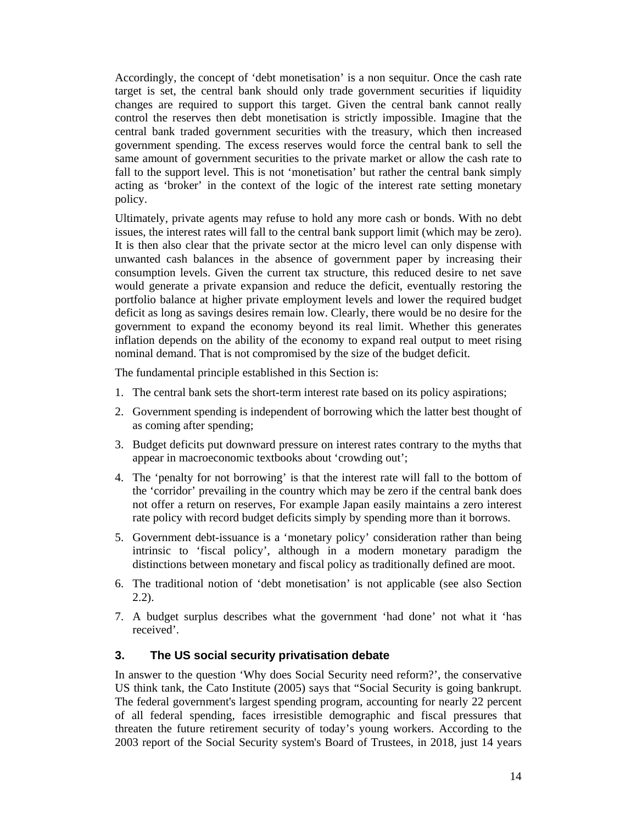Accordingly, the concept of 'debt monetisation' is a non sequitur. Once the cash rate target is set, the central bank should only trade government securities if liquidity changes are required to support this target. Given the central bank cannot really control the reserves then debt monetisation is strictly impossible. Imagine that the central bank traded government securities with the treasury, which then increased government spending. The excess reserves would force the central bank to sell the same amount of government securities to the private market or allow the cash rate to fall to the support level. This is not 'monetisation' but rather the central bank simply acting as 'broker' in the context of the logic of the interest rate setting monetary policy.

Ultimately, private agents may refuse to hold any more cash or bonds. With no debt issues, the interest rates will fall to the central bank support limit (which may be zero). It is then also clear that the private sector at the micro level can only dispense with unwanted cash balances in the absence of government paper by increasing their consumption levels. Given the current tax structure, this reduced desire to net save would generate a private expansion and reduce the deficit, eventually restoring the portfolio balance at higher private employment levels and lower the required budget deficit as long as savings desires remain low. Clearly, there would be no desire for the government to expand the economy beyond its real limit. Whether this generates inflation depends on the ability of the economy to expand real output to meet rising nominal demand. That is not compromised by the size of the budget deficit.

The fundamental principle established in this Section is:

- 1. The central bank sets the short-term interest rate based on its policy aspirations;
- 2. Government spending is independent of borrowing which the latter best thought of as coming after spending;
- 3. Budget deficits put downward pressure on interest rates contrary to the myths that appear in macroeconomic textbooks about 'crowding out';
- 4. The 'penalty for not borrowing' is that the interest rate will fall to the bottom of the 'corridor' prevailing in the country which may be zero if the central bank does not offer a return on reserves, For example Japan easily maintains a zero interest rate policy with record budget deficits simply by spending more than it borrows.
- 5. Government debt-issuance is a 'monetary policy' consideration rather than being intrinsic to 'fiscal policy', although in a modern monetary paradigm the distinctions between monetary and fiscal policy as traditionally defined are moot.
- 6. The traditional notion of 'debt monetisation' is not applicable (see also Section 2.2).
- 7. A budget surplus describes what the government 'had done' not what it 'has received'.

#### **3. The US social security privatisation debate**

In answer to the question 'Why does Social Security need reform?', the conservative US think tank, the Cato Institute (2005) says that "Social Security is going bankrupt. The federal government's largest spending program, accounting for nearly 22 percent of all federal spending, faces irresistible demographic and fiscal pressures that threaten the future retirement security of today's young workers. According to the 2003 report of the Social Security system's Board of Trustees, in 2018, just 14 years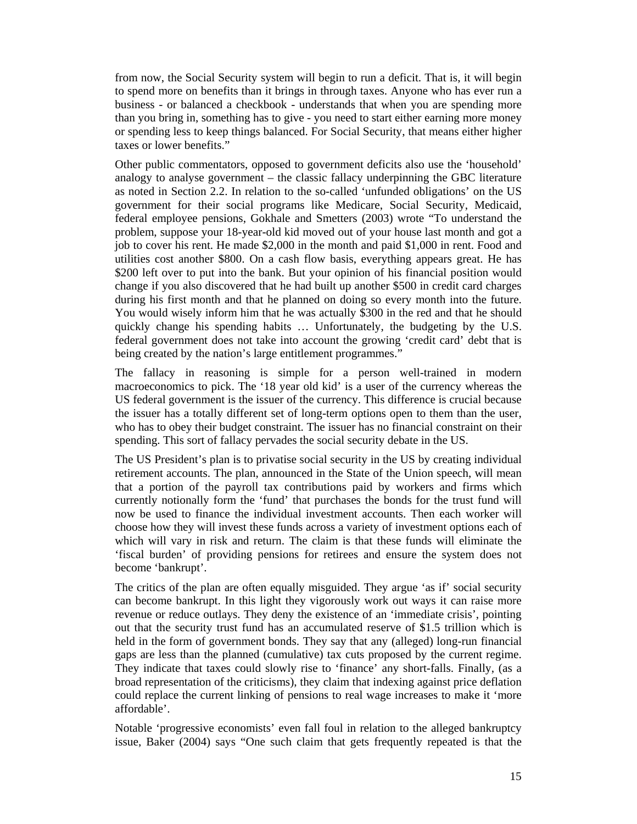from now, the Social Security system will begin to run a deficit. That is, it will begin to spend more on benefits than it brings in through taxes. Anyone who has ever run a business - or balanced a checkbook - understands that when you are spending more than you bring in, something has to give - you need to start either earning more money or spending less to keep things balanced. For Social Security, that means either higher taxes or lower benefits."

Other public commentators, opposed to government deficits also use the 'household' analogy to analyse government – the classic fallacy underpinning the GBC literature as noted in Section 2.2. In relation to the so-called 'unfunded obligations' on the US government for their social programs like Medicare, Social Security, Medicaid, federal employee pensions, Gokhale and Smetters (2003) wrote "To understand the problem, suppose your 18-year-old kid moved out of your house last month and got a job to cover his rent. He made \$2,000 in the month and paid \$1,000 in rent. Food and utilities cost another \$800. On a cash flow basis, everything appears great. He has \$200 left over to put into the bank. But your opinion of his financial position would change if you also discovered that he had built up another \$500 in credit card charges during his first month and that he planned on doing so every month into the future. You would wisely inform him that he was actually \$300 in the red and that he should quickly change his spending habits … Unfortunately, the budgeting by the U.S. federal government does not take into account the growing 'credit card' debt that is being created by the nation's large entitlement programmes."

The fallacy in reasoning is simple for a person well-trained in modern macroeconomics to pick. The '18 year old kid' is a user of the currency whereas the US federal government is the issuer of the currency. This difference is crucial because the issuer has a totally different set of long-term options open to them than the user, who has to obey their budget constraint. The issuer has no financial constraint on their spending. This sort of fallacy pervades the social security debate in the US.

The US President's plan is to privatise social security in the US by creating individual retirement accounts. The plan, announced in the State of the Union speech, will mean that a portion of the payroll tax contributions paid by workers and firms which currently notionally form the 'fund' that purchases the bonds for the trust fund will now be used to finance the individual investment accounts. Then each worker will choose how they will invest these funds across a variety of investment options each of which will vary in risk and return. The claim is that these funds will eliminate the 'fiscal burden' of providing pensions for retirees and ensure the system does not become 'bankrupt'.

The critics of the plan are often equally misguided. They argue 'as if' social security can become bankrupt. In this light they vigorously work out ways it can raise more revenue or reduce outlays. They deny the existence of an 'immediate crisis', pointing out that the security trust fund has an accumulated reserve of \$1.5 trillion which is held in the form of government bonds. They say that any (alleged) long-run financial gaps are less than the planned (cumulative) tax cuts proposed by the current regime. They indicate that taxes could slowly rise to 'finance' any short-falls. Finally, (as a broad representation of the criticisms), they claim that indexing against price deflation could replace the current linking of pensions to real wage increases to make it 'more affordable'.

Notable 'progressive economists' even fall foul in relation to the alleged bankruptcy issue, Baker (2004) says "One such claim that gets frequently repeated is that the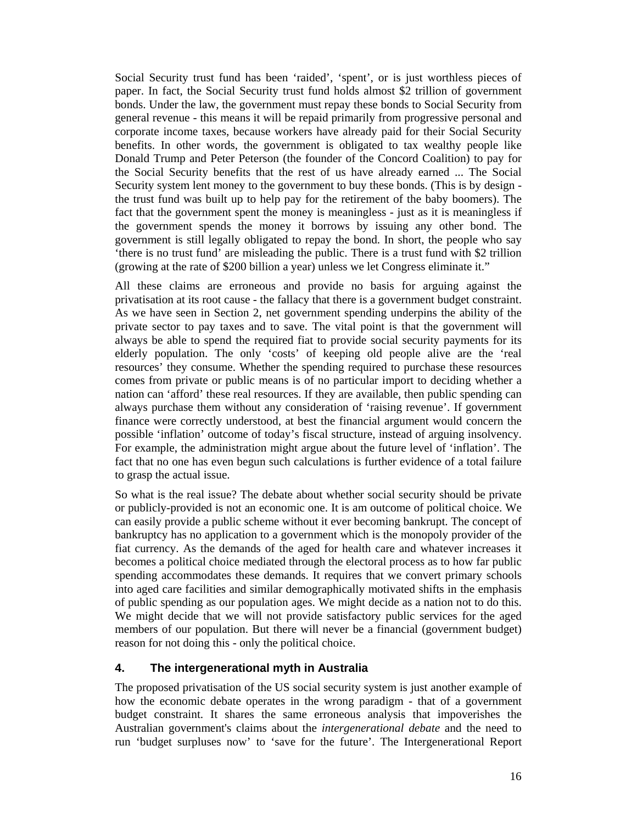Social Security trust fund has been 'raided', 'spent', or is just worthless pieces of paper. In fact, the Social Security trust fund holds almost \$2 trillion of government bonds. Under the law, the government must repay these bonds to Social Security from general revenue - this means it will be repaid primarily from progressive personal and corporate income taxes, because workers have already paid for their Social Security benefits. In other words, the government is obligated to tax wealthy people like Donald Trump and Peter Peterson (the founder of the Concord Coalition) to pay for the Social Security benefits that the rest of us have already earned ... The Social Security system lent money to the government to buy these bonds. (This is by design the trust fund was built up to help pay for the retirement of the baby boomers). The fact that the government spent the money is meaningless - just as it is meaningless if the government spends the money it borrows by issuing any other bond. The government is still legally obligated to repay the bond. In short, the people who say 'there is no trust fund' are misleading the public. There is a trust fund with \$2 trillion (growing at the rate of \$200 billion a year) unless we let Congress eliminate it."

All these claims are erroneous and provide no basis for arguing against the privatisation at its root cause - the fallacy that there is a government budget constraint. As we have seen in Section 2, net government spending underpins the ability of the private sector to pay taxes and to save. The vital point is that the government will always be able to spend the required fiat to provide social security payments for its elderly population. The only 'costs' of keeping old people alive are the 'real resources' they consume. Whether the spending required to purchase these resources comes from private or public means is of no particular import to deciding whether a nation can 'afford' these real resources. If they are available, then public spending can always purchase them without any consideration of 'raising revenue'. If government finance were correctly understood, at best the financial argument would concern the possible 'inflation' outcome of today's fiscal structure, instead of arguing insolvency. For example, the administration might argue about the future level of 'inflation'. The fact that no one has even begun such calculations is further evidence of a total failure to grasp the actual issue.

So what is the real issue? The debate about whether social security should be private or publicly-provided is not an economic one. It is am outcome of political choice. We can easily provide a public scheme without it ever becoming bankrupt. The concept of bankruptcy has no application to a government which is the monopoly provider of the fiat currency. As the demands of the aged for health care and whatever increases it becomes a political choice mediated through the electoral process as to how far public spending accommodates these demands. It requires that we convert primary schools into aged care facilities and similar demographically motivated shifts in the emphasis of public spending as our population ages. We might decide as a nation not to do this. We might decide that we will not provide satisfactory public services for the aged members of our population. But there will never be a financial (government budget) reason for not doing this - only the political choice.

#### **4. The intergenerational myth in Australia**

The proposed privatisation of the US social security system is just another example of how the economic debate operates in the wrong paradigm - that of a government budget constraint. It shares the same erroneous analysis that impoverishes the Australian government's claims about the *intergenerational debate* and the need to run 'budget surpluses now' to 'save for the future'. The Intergenerational Report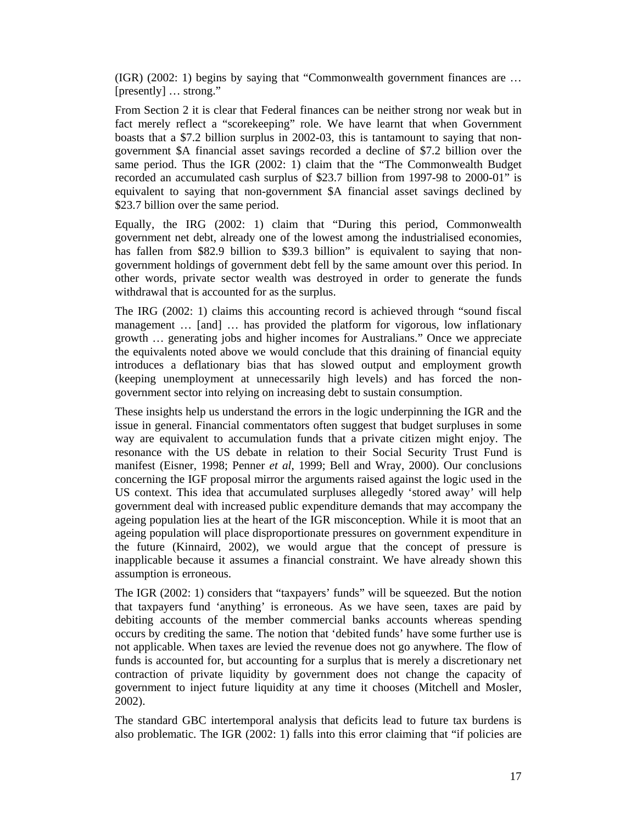(IGR) (2002: 1) begins by saying that "Commonwealth government finances are … [presently] … strong."

From Section 2 it is clear that Federal finances can be neither strong nor weak but in fact merely reflect a "scorekeeping" role. We have learnt that when Government boasts that a \$7.2 billion surplus in 2002-03, this is tantamount to saying that nongovernment \$A financial asset savings recorded a decline of \$7.2 billion over the same period. Thus the IGR (2002: 1) claim that the "The Commonwealth Budget recorded an accumulated cash surplus of \$23.7 billion from 1997-98 to 2000-01" is equivalent to saying that non-government \$A financial asset savings declined by \$23.7 billion over the same period.

Equally, the IRG (2002: 1) claim that "During this period, Commonwealth government net debt, already one of the lowest among the industrialised economies, has fallen from \$82.9 billion to \$39.3 billion" is equivalent to saying that nongovernment holdings of government debt fell by the same amount over this period. In other words, private sector wealth was destroyed in order to generate the funds withdrawal that is accounted for as the surplus.

The IRG (2002: 1) claims this accounting record is achieved through "sound fiscal management … [and] … has provided the platform for vigorous, low inflationary growth … generating jobs and higher incomes for Australians." Once we appreciate the equivalents noted above we would conclude that this draining of financial equity introduces a deflationary bias that has slowed output and employment growth (keeping unemployment at unnecessarily high levels) and has forced the nongovernment sector into relying on increasing debt to sustain consumption.

These insights help us understand the errors in the logic underpinning the IGR and the issue in general. Financial commentators often suggest that budget surpluses in some way are equivalent to accumulation funds that a private citizen might enjoy. The resonance with the US debate in relation to their Social Security Trust Fund is manifest (Eisner, 1998; Penner *et al*, 1999; Bell and Wray, 2000). Our conclusions concerning the IGF proposal mirror the arguments raised against the logic used in the US context. This idea that accumulated surpluses allegedly 'stored away' will help government deal with increased public expenditure demands that may accompany the ageing population lies at the heart of the IGR misconception. While it is moot that an ageing population will place disproportionate pressures on government expenditure in the future (Kinnaird, 2002), we would argue that the concept of pressure is inapplicable because it assumes a financial constraint. We have already shown this assumption is erroneous.

The IGR (2002: 1) considers that "taxpayers' funds" will be squeezed. But the notion that taxpayers fund 'anything' is erroneous. As we have seen, taxes are paid by debiting accounts of the member commercial banks accounts whereas spending occurs by crediting the same. The notion that 'debited funds' have some further use is not applicable. When taxes are levied the revenue does not go anywhere. The flow of funds is accounted for, but accounting for a surplus that is merely a discretionary net contraction of private liquidity by government does not change the capacity of government to inject future liquidity at any time it chooses (Mitchell and Mosler, 2002).

The standard GBC intertemporal analysis that deficits lead to future tax burdens is also problematic. The IGR (2002: 1) falls into this error claiming that "if policies are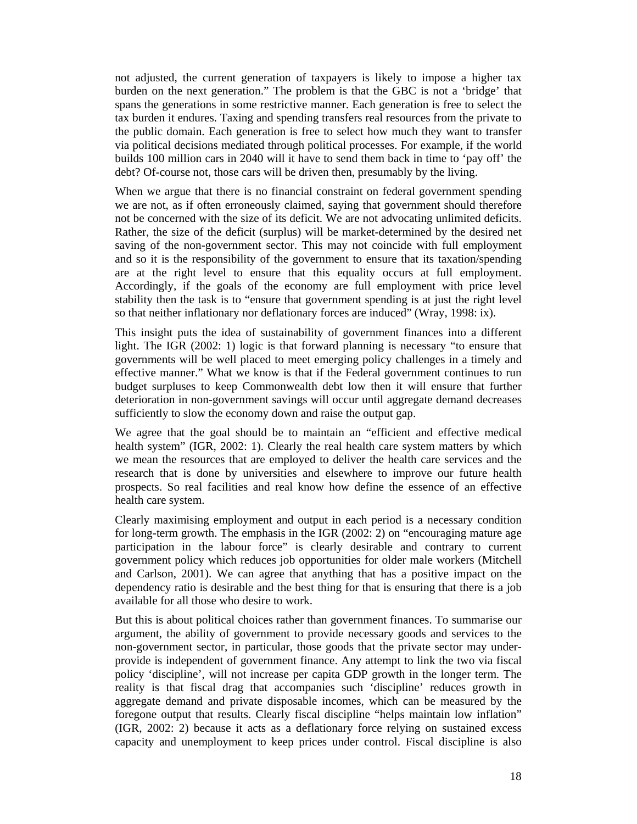not adjusted, the current generation of taxpayers is likely to impose a higher tax burden on the next generation." The problem is that the GBC is not a 'bridge' that spans the generations in some restrictive manner. Each generation is free to select the tax burden it endures. Taxing and spending transfers real resources from the private to the public domain. Each generation is free to select how much they want to transfer via political decisions mediated through political processes. For example, if the world builds 100 million cars in 2040 will it have to send them back in time to 'pay off' the debt? Of-course not, those cars will be driven then, presumably by the living.

When we argue that there is no financial constraint on federal government spending we are not, as if often erroneously claimed, saying that government should therefore not be concerned with the size of its deficit. We are not advocating unlimited deficits. Rather, the size of the deficit (surplus) will be market-determined by the desired net saving of the non-government sector. This may not coincide with full employment and so it is the responsibility of the government to ensure that its taxation/spending are at the right level to ensure that this equality occurs at full employment. Accordingly, if the goals of the economy are full employment with price level stability then the task is to "ensure that government spending is at just the right level so that neither inflationary nor deflationary forces are induced" (Wray, 1998: ix).

This insight puts the idea of sustainability of government finances into a different light. The IGR (2002: 1) logic is that forward planning is necessary "to ensure that governments will be well placed to meet emerging policy challenges in a timely and effective manner." What we know is that if the Federal government continues to run budget surpluses to keep Commonwealth debt low then it will ensure that further deterioration in non-government savings will occur until aggregate demand decreases sufficiently to slow the economy down and raise the output gap.

We agree that the goal should be to maintain an "efficient and effective medical health system" (IGR, 2002: 1). Clearly the real health care system matters by which we mean the resources that are employed to deliver the health care services and the research that is done by universities and elsewhere to improve our future health prospects. So real facilities and real know how define the essence of an effective health care system.

Clearly maximising employment and output in each period is a necessary condition for long-term growth. The emphasis in the IGR (2002: 2) on "encouraging mature age participation in the labour force" is clearly desirable and contrary to current government policy which reduces job opportunities for older male workers (Mitchell and Carlson, 2001). We can agree that anything that has a positive impact on the dependency ratio is desirable and the best thing for that is ensuring that there is a job available for all those who desire to work.

But this is about political choices rather than government finances. To summarise our argument, the ability of government to provide necessary goods and services to the non-government sector, in particular, those goods that the private sector may underprovide is independent of government finance. Any attempt to link the two via fiscal policy 'discipline', will not increase per capita GDP growth in the longer term. The reality is that fiscal drag that accompanies such 'discipline' reduces growth in aggregate demand and private disposable incomes, which can be measured by the foregone output that results. Clearly fiscal discipline "helps maintain low inflation" (IGR, 2002: 2) because it acts as a deflationary force relying on sustained excess capacity and unemployment to keep prices under control. Fiscal discipline is also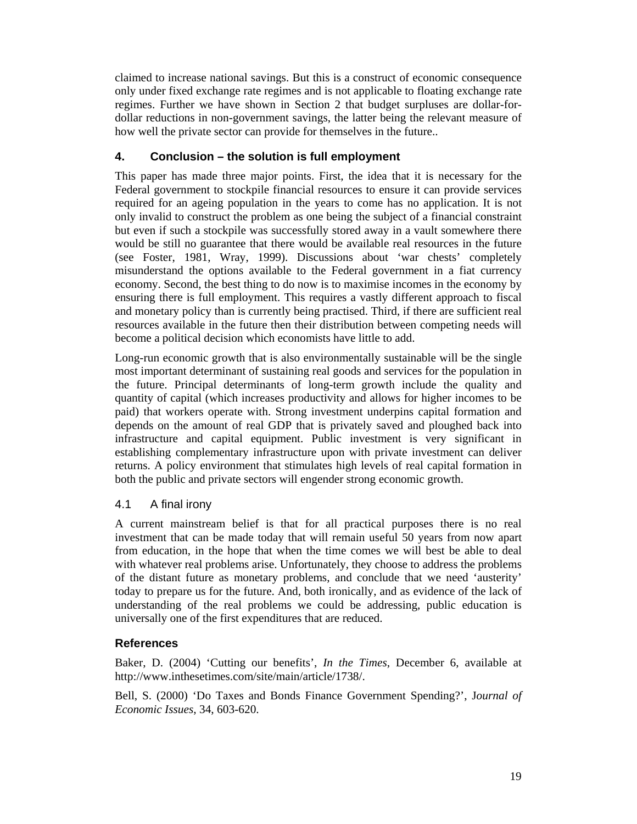claimed to increase national savings. But this is a construct of economic consequence only under fixed exchange rate regimes and is not applicable to floating exchange rate regimes. Further we have shown in Section 2 that budget surpluses are dollar-fordollar reductions in non-government savings, the latter being the relevant measure of how well the private sector can provide for themselves in the future..

# **4. Conclusion – the solution is full employment**

This paper has made three major points. First, the idea that it is necessary for the Federal government to stockpile financial resources to ensure it can provide services required for an ageing population in the years to come has no application. It is not only invalid to construct the problem as one being the subject of a financial constraint but even if such a stockpile was successfully stored away in a vault somewhere there would be still no guarantee that there would be available real resources in the future (see Foster, 1981, Wray, 1999). Discussions about 'war chests' completely misunderstand the options available to the Federal government in a fiat currency economy. Second, the best thing to do now is to maximise incomes in the economy by ensuring there is full employment. This requires a vastly different approach to fiscal and monetary policy than is currently being practised. Third, if there are sufficient real resources available in the future then their distribution between competing needs will become a political decision which economists have little to add.

Long-run economic growth that is also environmentally sustainable will be the single most important determinant of sustaining real goods and services for the population in the future. Principal determinants of long-term growth include the quality and quantity of capital (which increases productivity and allows for higher incomes to be paid) that workers operate with. Strong investment underpins capital formation and depends on the amount of real GDP that is privately saved and ploughed back into infrastructure and capital equipment. Public investment is very significant in establishing complementary infrastructure upon with private investment can deliver returns. A policy environment that stimulates high levels of real capital formation in both the public and private sectors will engender strong economic growth.

# 4.1 A final irony

A current mainstream belief is that for all practical purposes there is no real investment that can be made today that will remain useful 50 years from now apart from education, in the hope that when the time comes we will best be able to deal with whatever real problems arise. Unfortunately, they choose to address the problems of the distant future as monetary problems, and conclude that we need 'austerity' today to prepare us for the future. And, both ironically, and as evidence of the lack of understanding of the real problems we could be addressing, public education is universally one of the first expenditures that are reduced.

# **References**

Baker, D. (2004) 'Cutting our benefits', *In the Times*, December 6, available at http://www.inthesetimes.com/site/main/article/1738/.

Bell, S. (2000) 'Do Taxes and Bonds Finance Government Spending?', J*ournal of Economic Issues*, 34, 603-620.